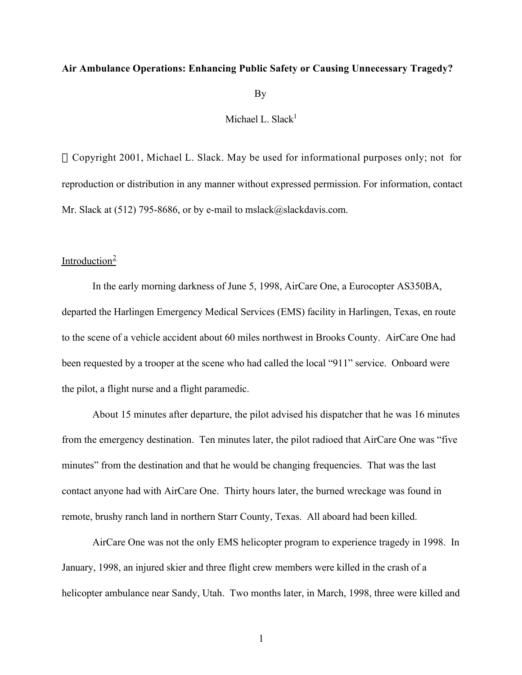#### **Air Ambulance Operations: Enhancing Public Safety or Causing Unnecessary Tragedy?**

By

Michael L. Slack $<sup>1</sup>$ </sup>

 Copyright 2001, Michael L. Slack. May be used for informational purposes only; not for reproduction or distribution in any manner without expressed permission. For information, contact Mr. Slack at (512) 795-8686, or by e-mail to mslack@slackdavis.com.

# Introduction $2$

In the early morning darkness of June 5, 1998, AirCare One, a Eurocopter AS350BA, departed the Harlingen Emergency Medical Services (EMS) facility in Harlingen, Texas, en route to the scene of a vehicle accident about 60 miles northwest in Brooks County. AirCare One had been requested by a trooper at the scene who had called the local "911" service. Onboard were the pilot, a flight nurse and a flight paramedic.

About 15 minutes after departure, the pilot advised his dispatcher that he was 16 minutes from the emergency destination. Ten minutes later, the pilot radioed that AirCare One was "five minutes" from the destination and that he would be changing frequencies. That was the last contact anyone had with AirCare One. Thirty hours later, the burned wreckage was found in remote, brushy ranch land in northern Starr County, Texas. All aboard had been killed.

AirCare One was not the only EMS helicopter program to experience tragedy in 1998. In January, 1998, an injured skier and three flight crew members were killed in the crash of a helicopter ambulance near Sandy, Utah. Two months later, in March, 1998, three were killed and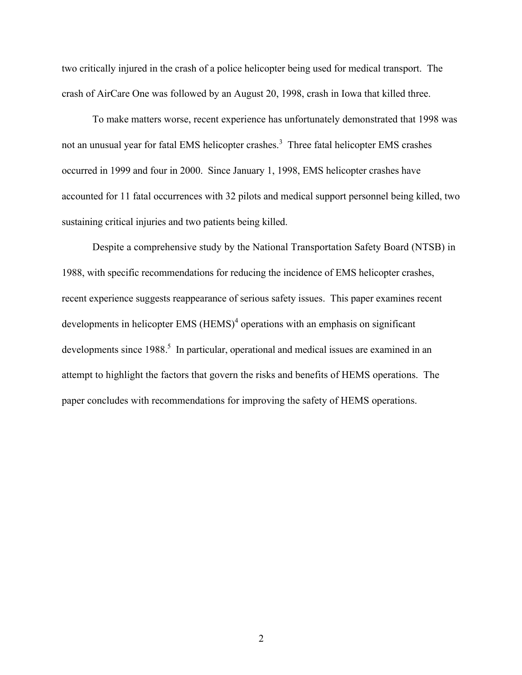two critically injured in the crash of a police helicopter being used for medical transport. The crash of AirCare One was followed by an August 20, 1998, crash in Iowa that killed three.

To make matters worse, recent experience has unfortunately demonstrated that 1998 was not an unusual year for fatal EMS helicopter crashes.<sup>3</sup> Three fatal helicopter EMS crashes occurred in 1999 and four in 2000. Since January 1, 1998, EMS helicopter crashes have accounted for 11 fatal occurrences with 32 pilots and medical support personnel being killed, two sustaining critical injuries and two patients being killed.

Despite a comprehensive study by the National Transportation Safety Board (NTSB) in 1988, with specific recommendations for reducing the incidence of EMS helicopter crashes, recent experience suggests reappearance of serious safety issues. This paper examines recent developments in helicopter EMS (HEMS)<sup>4</sup> operations with an emphasis on significant developments since 1988.<sup>5</sup> In particular, operational and medical issues are examined in an attempt to highlight the factors that govern the risks and benefits of HEMS operations. The paper concludes with recommendations for improving the safety of HEMS operations.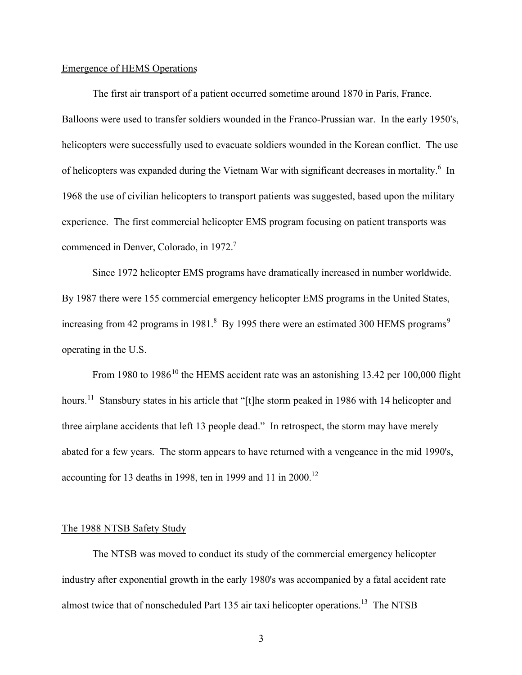#### Emergence of HEMS Operations

The first air transport of a patient occurred sometime around 1870 in Paris, France. Balloons were used to transfer soldiers wounded in the Franco-Prussian war. In the early 1950's, helicopters were successfully used to evacuate soldiers wounded in the Korean conflict. The use of helicopters was expanded during the Vietnam War with significant decreases in mortality.<sup>6</sup> In 1968 the use of civilian helicopters to transport patients was suggested, based upon the military experience. The first commercial helicopter EMS program focusing on patient transports was commenced in Denver, Colorado, in 1972.<sup>7</sup>

Since 1972 helicopter EMS programs have dramatically increased in number worldwide. By 1987 there were 155 commercial emergency helicopter EMS programs in the United States, increasing from 42 programs in 1981.<sup>8</sup> By 1995 there were an estimated 300 HEMS programs<sup>9</sup> operating in the U.S.

From 1980 to 1986<sup>10</sup> the HEMS accident rate was an astonishing 13.42 per 100,000 flight hours.<sup>11</sup> Stansbury states in his article that "[t]he storm peaked in 1986 with 14 helicopter and three airplane accidents that left 13 people dead." In retrospect, the storm may have merely abated for a few years. The storm appears to have returned with a vengeance in the mid 1990's, accounting for 13 deaths in 1998, ten in 1999 and 11 in 2000.<sup>12</sup>

# The 1988 NTSB Safety Study

The NTSB was moved to conduct its study of the commercial emergency helicopter industry after exponential growth in the early 1980's was accompanied by a fatal accident rate almost twice that of nonscheduled Part 135 air taxi helicopter operations.<sup>13</sup> The NTSB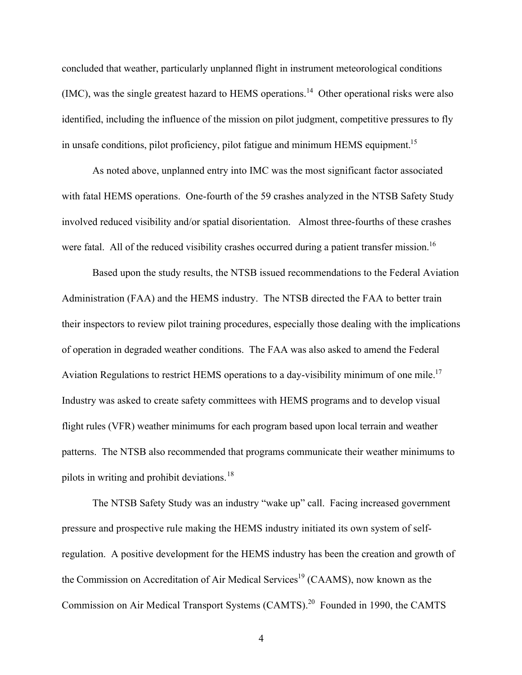concluded that weather, particularly unplanned flight in instrument meteorological conditions  $(IMC)$ , was the single greatest hazard to HEMS operations.<sup>14</sup> Other operational risks were also identified, including the influence of the mission on pilot judgment, competitive pressures to fly in unsafe conditions, pilot proficiency, pilot fatigue and minimum HEMS equipment.<sup>15</sup>

As noted above, unplanned entry into IMC was the most significant factor associated with fatal HEMS operations. One-fourth of the 59 crashes analyzed in the NTSB Safety Study involved reduced visibility and/or spatial disorientation. Almost three-fourths of these crashes were fatal. All of the reduced visibility crashes occurred during a patient transfer mission.<sup>16</sup>

Based upon the study results, the NTSB issued recommendations to the Federal Aviation Administration (FAA) and the HEMS industry. The NTSB directed the FAA to better train their inspectors to review pilot training procedures, especially those dealing with the implications of operation in degraded weather conditions. The FAA was also asked to amend the Federal Aviation Regulations to restrict HEMS operations to a day-visibility minimum of one mile.<sup>17</sup> Industry was asked to create safety committees with HEMS programs and to develop visual flight rules (VFR) weather minimums for each program based upon local terrain and weather patterns. The NTSB also recommended that programs communicate their weather minimums to pilots in writing and prohibit deviations.<sup>18</sup>

The NTSB Safety Study was an industry "wake up" call. Facing increased government pressure and prospective rule making the HEMS industry initiated its own system of selfregulation. A positive development for the HEMS industry has been the creation and growth of the Commission on Accreditation of Air Medical Services<sup>19</sup> (CAAMS), now known as the Commission on Air Medical Transport Systems (CAMTS).<sup>20</sup> Founded in 1990, the CAMTS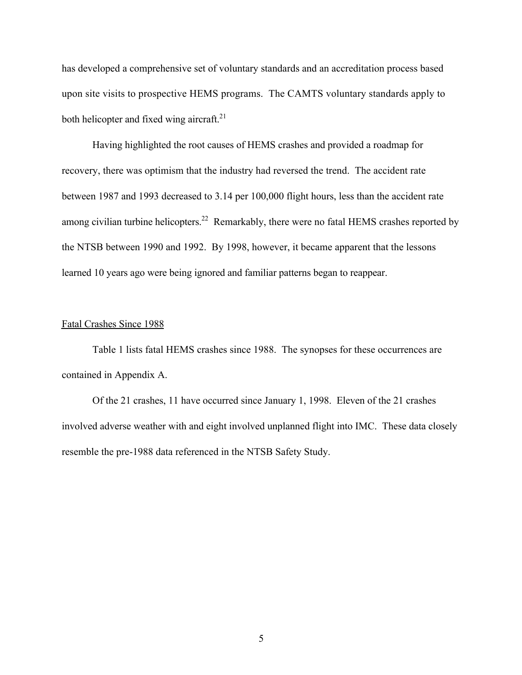has developed a comprehensive set of voluntary standards and an accreditation process based upon site visits to prospective HEMS programs. The CAMTS voluntary standards apply to both helicopter and fixed wing aircraft. $21$ 

Having highlighted the root causes of HEMS crashes and provided a roadmap for recovery, there was optimism that the industry had reversed the trend. The accident rate between 1987 and 1993 decreased to 3.14 per 100,000 flight hours, less than the accident rate among civilian turbine helicopters.<sup>22</sup> Remarkably, there were no fatal HEMS crashes reported by the NTSB between 1990 and 1992. By 1998, however, it became apparent that the lessons learned 10 years ago were being ignored and familiar patterns began to reappear.

## Fatal Crashes Since 1988

Table 1 lists fatal HEMS crashes since 1988. The synopses for these occurrences are contained in Appendix A.

Of the 21 crashes, 11 have occurred since January 1, 1998. Eleven of the 21 crashes involved adverse weather with and eight involved unplanned flight into IMC. These data closely resemble the pre-1988 data referenced in the NTSB Safety Study.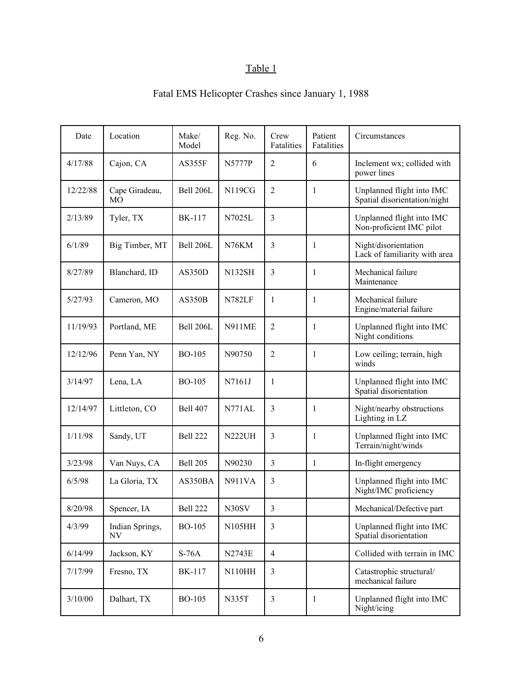# Table 1

| Date     | Location                         | Make/<br>Model   | Reg. No.      | Crew<br>Fatalities      | Patient<br>Fatalities | Circumstances                                             |
|----------|----------------------------------|------------------|---------------|-------------------------|-----------------------|-----------------------------------------------------------|
| 4/17/88  | Cajon, CA                        | <b>AS355F</b>    | N5777P        | $\overline{2}$          | 6                     | Inclement wx; collided with<br>power lines                |
| 12/22/88 | Cape Giradeau,<br>M <sub>O</sub> | Bell 206L        | <b>N119CG</b> | $\overline{2}$          | 1                     | Unplanned flight into IMC<br>Spatial disorientation/night |
| 2/13/89  | Tyler, TX                        | <b>BK-117</b>    | N7025L        | 3                       |                       | Unplanned flight into IMC<br>Non-proficient IMC pilot     |
| 6/1/89   | Big Timber, MT                   | Bell 206L        | N76KM         | 3                       | 1                     | Night/disorientation<br>Lack of familiarity with area     |
| 8/27/89  | Blanchard, ID                    | <b>AS350D</b>    | <b>N132SH</b> | 3                       | 1                     | Mechanical failure<br>Maintenance                         |
| 5/27/93  | Cameron, MO                      | <b>AS350B</b>    | <b>N782LF</b> | 1                       | 1                     | Mechanical failure<br>Engine/material failure             |
| 11/19/93 | Portland, ME                     | <b>Bell 206L</b> | <b>N911ME</b> | $\overline{2}$          | 1                     | Unplanned flight into IMC<br>Night conditions             |
| 12/12/96 | Penn Yan, NY                     | <b>BO-105</b>    | N90750        | $\overline{2}$          | 1                     | Low ceiling; terrain, high<br>winds                       |
| 3/14/97  | Lena, LA                         | <b>BO-105</b>    | N7161J        | 1                       |                       | Unplanned flight into IMC<br>Spatial disorientation       |
| 12/14/97 | Littleton, CO                    | <b>Bell 407</b>  | <b>N771AL</b> | 3                       | 1                     | Night/nearby obstructions<br>Lighting in LZ               |
| 1/11/98  | Sandy, UT                        | Bell 222         | <b>N222UH</b> | 3                       | 1                     | Unplanned flight into IMC<br>Terrain/night/winds          |
| 3/23/98  | Van Nuys, CA                     | <b>Bell 205</b>  | N90230        | 3                       | 1                     | In-flight emergency                                       |
| 6/5/98   | La Gloria, TX                    | AS350BA          | <b>N911VA</b> | 3                       |                       | Unplanned flight into IMC<br>Night/IMC proficiency        |
| 8/20/98  | Spencer, IA                      | <b>Bell 222</b>  | N30SV         | $\overline{\mathbf{3}}$ |                       | Mechanical/Defective part                                 |
| 4/3/99   | Indian Springs,<br>NV            | <b>BO-105</b>    | <b>N105HH</b> | 3                       |                       | Unplanned flight into IMC<br>Spatial disorientation       |
| 6/14/99  | Jackson, KY                      | $S-76A$          | <b>N2743E</b> | $\overline{4}$          |                       | Collided with terrain in IMC                              |
| 7/17/99  | Fresno, TX                       | <b>BK-117</b>    | <b>N110HH</b> | 3                       |                       | Catastrophic structural/<br>mechanical failure            |
| 3/10/00  | Dalhart, TX                      | <b>BO-105</b>    | N335T         | 3                       | 1                     | Unplanned flight into IMC<br>Night/icing                  |

# Fatal EMS Helicopter Crashes since January 1, 1988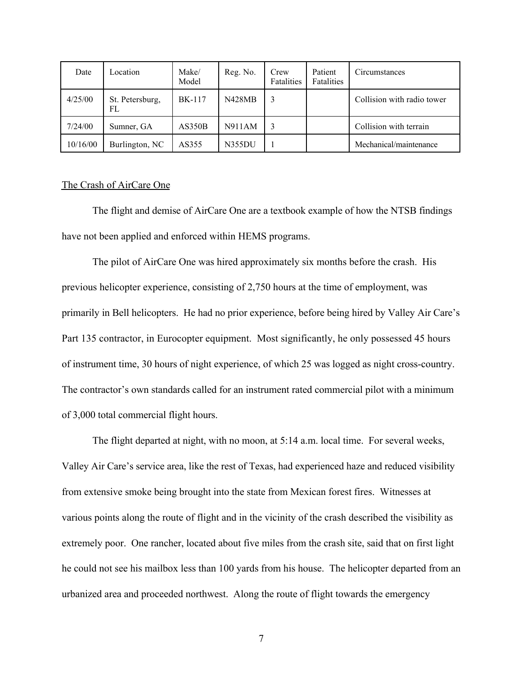| Date     | Location              | Make/<br>Model | Reg. No.      | Crew<br>Fatalities | Patient<br>Fatalities | Circumstances              |
|----------|-----------------------|----------------|---------------|--------------------|-----------------------|----------------------------|
| 4/25/00  | St. Petersburg,<br>FL | <b>BK-117</b>  | <b>N428MB</b> | 3                  |                       | Collision with radio tower |
| 7/24/00  | Sumner, GA            | AS350B         | N911AM        | 3                  |                       | Collision with terrain     |
| 10/16/00 | Burlington, NC        | AS355          | N355DU        |                    |                       | Mechanical/maintenance     |

#### The Crash of AirCare One

The flight and demise of AirCare One are a textbook example of how the NTSB findings have not been applied and enforced within HEMS programs.

The pilot of AirCare One was hired approximately six months before the crash. His previous helicopter experience, consisting of 2,750 hours at the time of employment, was primarily in Bell helicopters. He had no prior experience, before being hired by Valley Air Care's Part 135 contractor, in Eurocopter equipment. Most significantly, he only possessed 45 hours of instrument time, 30 hours of night experience, of which 25 was logged as night cross-country. The contractor's own standards called for an instrument rated commercial pilot with a minimum of 3,000 total commercial flight hours.

The flight departed at night, with no moon, at 5:14 a.m. local time. For several weeks, Valley Air Care's service area, like the rest of Texas, had experienced haze and reduced visibility from extensive smoke being brought into the state from Mexican forest fires. Witnesses at various points along the route of flight and in the vicinity of the crash described the visibility as extremely poor. One rancher, located about five miles from the crash site, said that on first light he could not see his mailbox less than 100 yards from his house. The helicopter departed from an urbanized area and proceeded northwest. Along the route of flight towards the emergency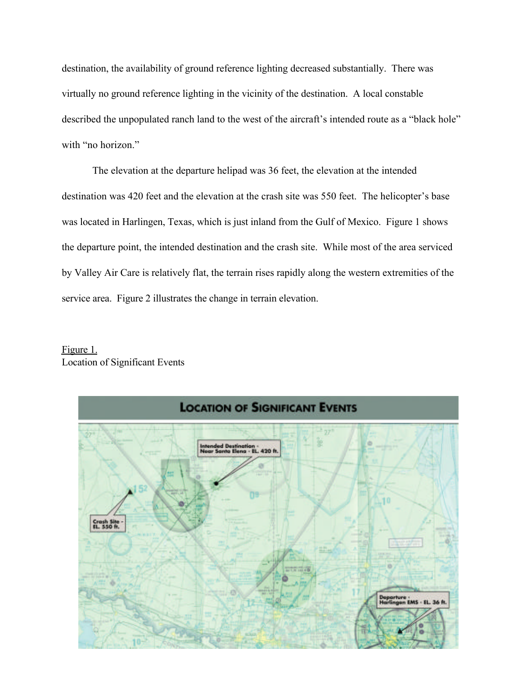destination, the availability of ground reference lighting decreased substantially. There was virtually no ground reference lighting in the vicinity of the destination. A local constable described the unpopulated ranch land to the west of the aircraft's intended route as a "black hole" with "no horizon."

The elevation at the departure helipad was 36 feet, the elevation at the intended destination was 420 feet and the elevation at the crash site was 550 feet. The helicopter's base was located in Harlingen, Texas, which is just inland from the Gulf of Mexico. Figure 1 shows the departure point, the intended destination and the crash site. While most of the area serviced by Valley Air Care is relatively flat, the terrain rises rapidly along the western extremities of the service area. Figure 2 illustrates the change in terrain elevation.

# Figure 1. Location of Significant Events

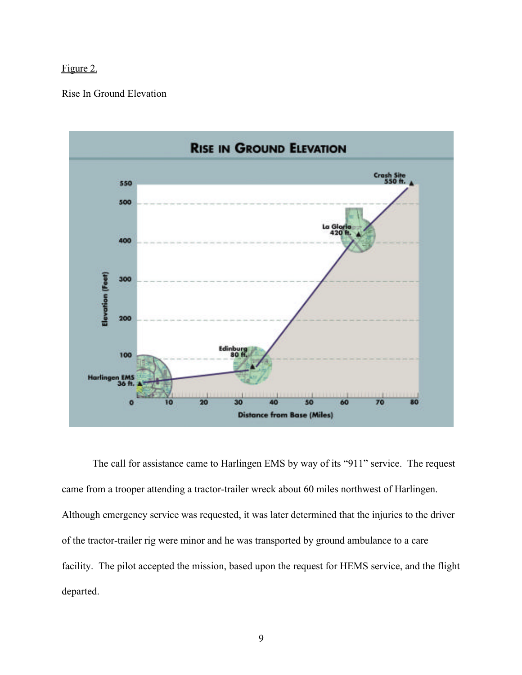# Figure 2.

# Rise In Ground Elevation



The call for assistance came to Harlingen EMS by way of its "911" service. The request came from a trooper attending a tractor-trailer wreck about 60 miles northwest of Harlingen. Although emergency service was requested, it was later determined that the injuries to the driver of the tractor-trailer rig were minor and he was transported by ground ambulance to a care facility. The pilot accepted the mission, based upon the request for HEMS service, and the flight departed.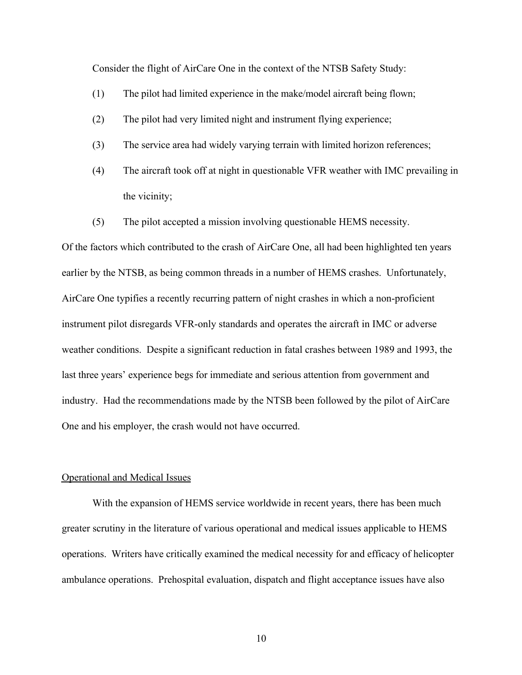Consider the flight of AirCare One in the context of the NTSB Safety Study:

- (1) The pilot had limited experience in the make/model aircraft being flown;
- (2) The pilot had very limited night and instrument flying experience;
- (3) The service area had widely varying terrain with limited horizon references;
- (4) The aircraft took off at night in questionable VFR weather with IMC prevailing in the vicinity;
- (5) The pilot accepted a mission involving questionable HEMS necessity.

Of the factors which contributed to the crash of AirCare One, all had been highlighted ten years earlier by the NTSB, as being common threads in a number of HEMS crashes. Unfortunately, AirCare One typifies a recently recurring pattern of night crashes in which a non-proficient instrument pilot disregards VFR-only standards and operates the aircraft in IMC or adverse weather conditions. Despite a significant reduction in fatal crashes between 1989 and 1993, the last three years' experience begs for immediate and serious attention from government and industry. Had the recommendations made by the NTSB been followed by the pilot of AirCare One and his employer, the crash would not have occurred.

#### Operational and Medical Issues

With the expansion of HEMS service worldwide in recent years, there has been much greater scrutiny in the literature of various operational and medical issues applicable to HEMS operations. Writers have critically examined the medical necessity for and efficacy of helicopter ambulance operations. Prehospital evaluation, dispatch and flight acceptance issues have also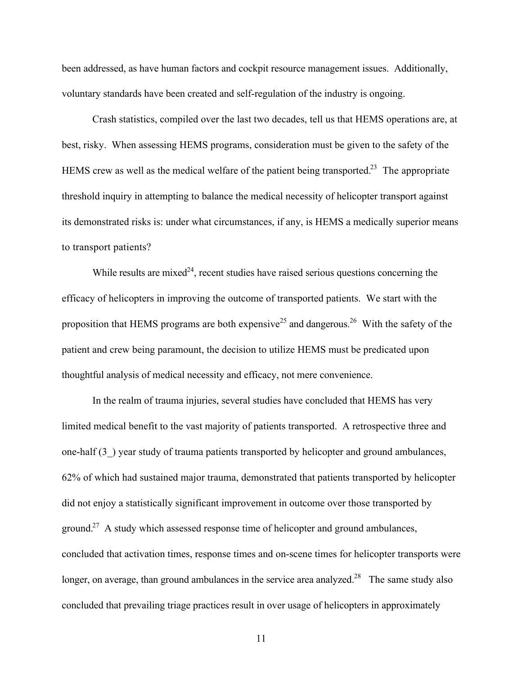been addressed, as have human factors and cockpit resource management issues. Additionally, voluntary standards have been created and self-regulation of the industry is ongoing.

Crash statistics, compiled over the last two decades, tell us that HEMS operations are, at best, risky. When assessing HEMS programs, consideration must be given to the safety of the HEMS crew as well as the medical welfare of the patient being transported.<sup>23</sup> The appropriate threshold inquiry in attempting to balance the medical necessity of helicopter transport against its demonstrated risks is: under what circumstances, if any, is HEMS a medically superior means to transport patients?

While results are mixed<sup>24</sup>, recent studies have raised serious questions concerning the efficacy of helicopters in improving the outcome of transported patients. We start with the proposition that HEMS programs are both expensive<sup>25</sup> and dangerous.<sup>26</sup> With the safety of the patient and crew being paramount, the decision to utilize HEMS must be predicated upon thoughtful analysis of medical necessity and efficacy, not mere convenience.

In the realm of trauma injuries, several studies have concluded that HEMS has very limited medical benefit to the vast majority of patients transported. A retrospective three and one-half (3\_) year study of trauma patients transported by helicopter and ground ambulances, 62% of which had sustained major trauma, demonstrated that patients transported by helicopter did not enjoy a statistically significant improvement in outcome over those transported by ground.<sup>27</sup> A study which assessed response time of helicopter and ground ambulances, concluded that activation times, response times and on-scene times for helicopter transports were longer, on average, than ground ambulances in the service area analyzed.<sup>28</sup> The same study also concluded that prevailing triage practices result in over usage of helicopters in approximately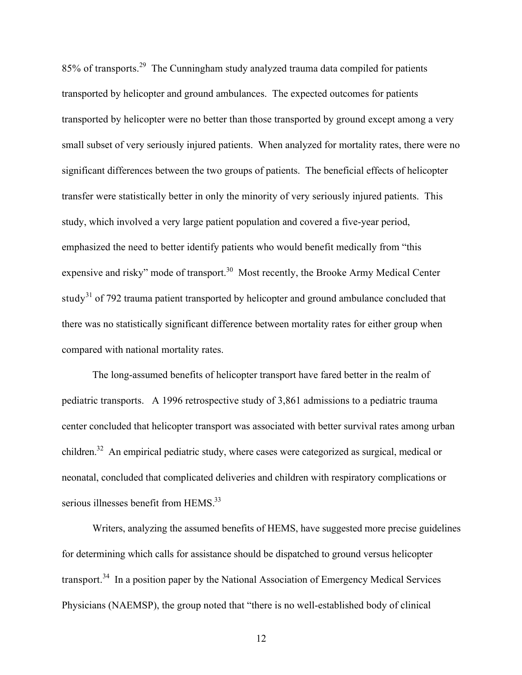85% of transports.<sup>29</sup> The Cunningham study analyzed trauma data compiled for patients transported by helicopter and ground ambulances. The expected outcomes for patients transported by helicopter were no better than those transported by ground except among a very small subset of very seriously injured patients. When analyzed for mortality rates, there were no significant differences between the two groups of patients. The beneficial effects of helicopter transfer were statistically better in only the minority of very seriously injured patients. This study, which involved a very large patient population and covered a five-year period, emphasized the need to better identify patients who would benefit medically from "this expensive and risky" mode of transport.<sup>30</sup> Most recently, the Brooke Army Medical Center study<sup>31</sup> of 792 trauma patient transported by helicopter and ground ambulance concluded that there was no statistically significant difference between mortality rates for either group when compared with national mortality rates.

The long-assumed benefits of helicopter transport have fared better in the realm of pediatric transports. A 1996 retrospective study of 3,861 admissions to a pediatric trauma center concluded that helicopter transport was associated with better survival rates among urban children.<sup>32</sup> An empirical pediatric study, where cases were categorized as surgical, medical or neonatal, concluded that complicated deliveries and children with respiratory complications or serious illnesses benefit from HEMS.<sup>33</sup>

Writers, analyzing the assumed benefits of HEMS, have suggested more precise guidelines for determining which calls for assistance should be dispatched to ground versus helicopter transport.<sup>34</sup> In a position paper by the National Association of Emergency Medical Services Physicians (NAEMSP), the group noted that "there is no well-established body of clinical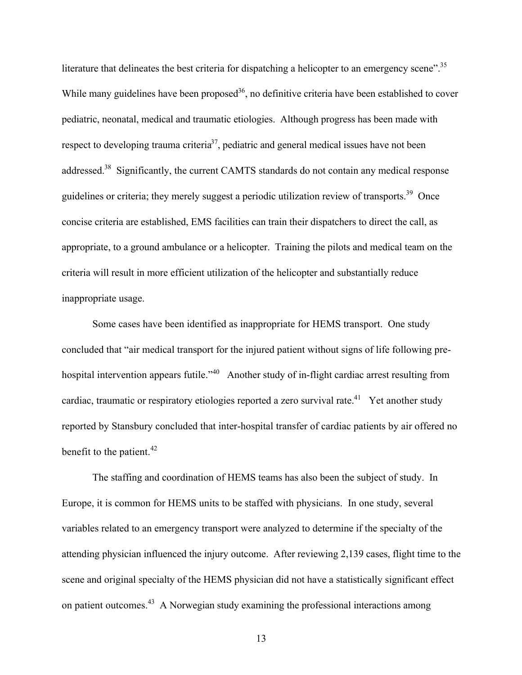literature that delineates the best criteria for dispatching a helicopter to an emergency scene".<sup>35</sup> While many guidelines have been proposed<sup>36</sup>, no definitive criteria have been established to cover pediatric, neonatal, medical and traumatic etiologies. Although progress has been made with respect to developing trauma criteria<sup>37</sup>, pediatric and general medical issues have not been addressed.<sup>38</sup> Significantly, the current CAMTS standards do not contain any medical response guidelines or criteria; they merely suggest a periodic utilization review of transports.<sup>39</sup> Once concise criteria are established, EMS facilities can train their dispatchers to direct the call, as appropriate, to a ground ambulance or a helicopter. Training the pilots and medical team on the criteria will result in more efficient utilization of the helicopter and substantially reduce inappropriate usage.

Some cases have been identified as inappropriate for HEMS transport. One study concluded that "air medical transport for the injured patient without signs of life following prehospital intervention appears futile."<sup>40</sup> Another study of in-flight cardiac arrest resulting from cardiac, traumatic or respiratory etiologies reported a zero survival rate.<sup>41</sup> Yet another study reported by Stansbury concluded that inter-hospital transfer of cardiac patients by air offered no benefit to the patient. $42$ 

The staffing and coordination of HEMS teams has also been the subject of study. In Europe, it is common for HEMS units to be staffed with physicians. In one study, several variables related to an emergency transport were analyzed to determine if the specialty of the attending physician influenced the injury outcome. After reviewing 2,139 cases, flight time to the scene and original specialty of the HEMS physician did not have a statistically significant effect on patient outcomes.<sup>43</sup> A Norwegian study examining the professional interactions among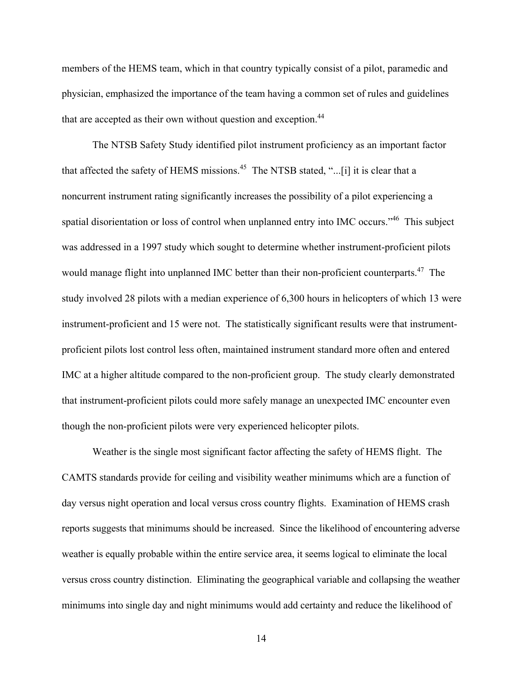members of the HEMS team, which in that country typically consist of a pilot, paramedic and physician, emphasized the importance of the team having a common set of rules and guidelines that are accepted as their own without question and exception.<sup>44</sup>

The NTSB Safety Study identified pilot instrument proficiency as an important factor that affected the safety of HEMS missions.<sup>45</sup> The NTSB stated, "...[i] it is clear that a noncurrent instrument rating significantly increases the possibility of a pilot experiencing a spatial disorientation or loss of control when unplanned entry into IMC occurs."<sup>46</sup> This subject was addressed in a 1997 study which sought to determine whether instrument-proficient pilots would manage flight into unplanned IMC better than their non-proficient counterparts.<sup>47</sup> The study involved 28 pilots with a median experience of 6,300 hours in helicopters of which 13 were instrument-proficient and 15 were not. The statistically significant results were that instrumentproficient pilots lost control less often, maintained instrument standard more often and entered IMC at a higher altitude compared to the non-proficient group. The study clearly demonstrated that instrument-proficient pilots could more safely manage an unexpected IMC encounter even though the non-proficient pilots were very experienced helicopter pilots.

Weather is the single most significant factor affecting the safety of HEMS flight. The CAMTS standards provide for ceiling and visibility weather minimums which are a function of day versus night operation and local versus cross country flights. Examination of HEMS crash reports suggests that minimums should be increased. Since the likelihood of encountering adverse weather is equally probable within the entire service area, it seems logical to eliminate the local versus cross country distinction. Eliminating the geographical variable and collapsing the weather minimums into single day and night minimums would add certainty and reduce the likelihood of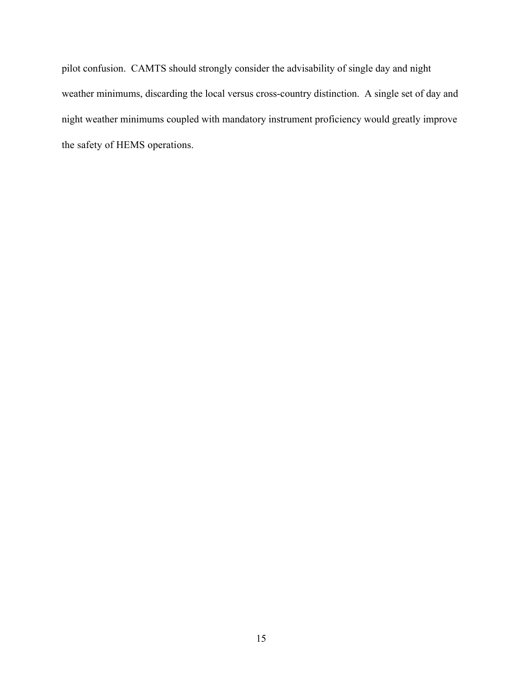pilot confusion. CAMTS should strongly consider the advisability of single day and night weather minimums, discarding the local versus cross-country distinction. A single set of day and night weather minimums coupled with mandatory instrument proficiency would greatly improve the safety of HEMS operations.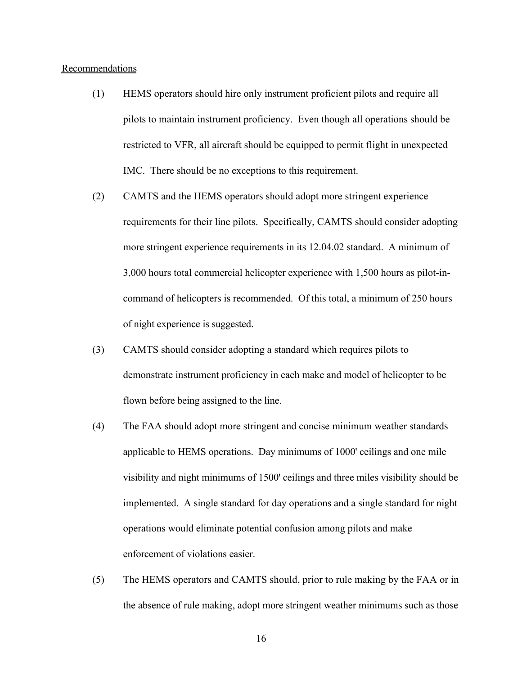#### Recommendations

- (1) HEMS operators should hire only instrument proficient pilots and require all pilots to maintain instrument proficiency. Even though all operations should be restricted to VFR, all aircraft should be equipped to permit flight in unexpected IMC. There should be no exceptions to this requirement.
- (2) CAMTS and the HEMS operators should adopt more stringent experience requirements for their line pilots. Specifically, CAMTS should consider adopting more stringent experience requirements in its 12.04.02 standard. A minimum of 3,000 hours total commercial helicopter experience with 1,500 hours as pilot-incommand of helicopters is recommended. Of this total, a minimum of 250 hours of night experience is suggested.
- (3) CAMTS should consider adopting a standard which requires pilots to demonstrate instrument proficiency in each make and model of helicopter to be flown before being assigned to the line.
- (4) The FAA should adopt more stringent and concise minimum weather standards applicable to HEMS operations. Day minimums of 1000' ceilings and one mile visibility and night minimums of 1500' ceilings and three miles visibility should be implemented. A single standard for day operations and a single standard for night operations would eliminate potential confusion among pilots and make enforcement of violations easier.
- (5) The HEMS operators and CAMTS should, prior to rule making by the FAA or in the absence of rule making, adopt more stringent weather minimums such as those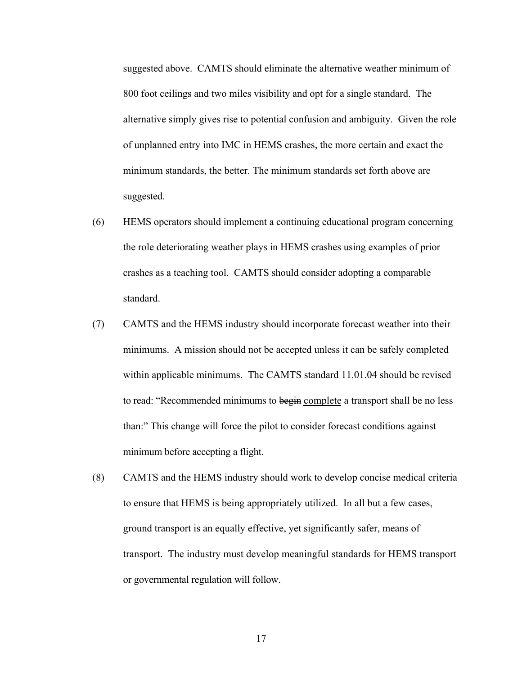suggested above. CAMTS should eliminate the alternative weather minimum of 800 foot ceilings and two miles visibility and opt for a single standard. The alternative simply gives rise to potential confusion and ambiguity. Given the role of unplanned entry into IMC in HEMS crashes, the more certain and exact the minimum standards, the better. The minimum standards set forth above are suggested.

- (6) HEMS operators should implement a continuing educational program concerning the role deteriorating weather plays in HEMS crashes using examples of prior crashes as a teaching tool. CAMTS should consider adopting a comparable standard.
- (7) CAMTS and the HEMS industry should incorporate forecast weather into their minimums. A mission should not be accepted unless it can be safely completed within applicable minimums. The CAMTS standard 11.01.04 should be revised to read: "Recommended minimums to begin complete a transport shall be no less than:" This change will force the pilot to consider forecast conditions against minimum before accepting a flight.
- (8) CAMTS and the HEMS industry should work to develop concise medical criteria to ensure that HEMS is being appropriately utilized. In all but a few cases, ground transport is an equally effective, yet significantly safer, means of transport. The industry must develop meaningful standards for HEMS transport or governmental regulation will follow.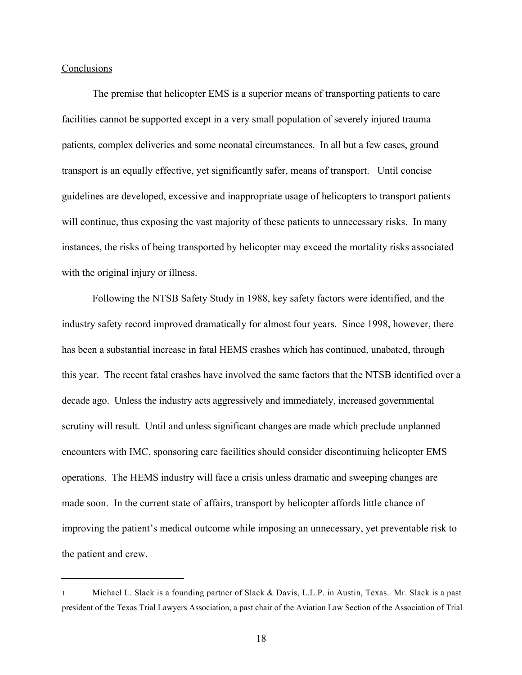#### **Conclusions**

l

The premise that helicopter EMS is a superior means of transporting patients to care facilities cannot be supported except in a very small population of severely injured trauma patients, complex deliveries and some neonatal circumstances. In all but a few cases, ground transport is an equally effective, yet significantly safer, means of transport. Until concise guidelines are developed, excessive and inappropriate usage of helicopters to transport patients will continue, thus exposing the vast majority of these patients to unnecessary risks. In many instances, the risks of being transported by helicopter may exceed the mortality risks associated with the original injury or illness.

Following the NTSB Safety Study in 1988, key safety factors were identified, and the industry safety record improved dramatically for almost four years. Since 1998, however, there has been a substantial increase in fatal HEMS crashes which has continued, unabated, through this year. The recent fatal crashes have involved the same factors that the NTSB identified over a decade ago. Unless the industry acts aggressively and immediately, increased governmental scrutiny will result. Until and unless significant changes are made which preclude unplanned encounters with IMC, sponsoring care facilities should consider discontinuing helicopter EMS operations. The HEMS industry will face a crisis unless dramatic and sweeping changes are made soon. In the current state of affairs, transport by helicopter affords little chance of improving the patient's medical outcome while imposing an unnecessary, yet preventable risk to the patient and crew.

<sup>1.</sup> Michael L. Slack is a founding partner of Slack & Davis, L.L.P. in Austin, Texas. Mr. Slack is a past president of the Texas Trial Lawyers Association, a past chair of the Aviation Law Section of the Association of Trial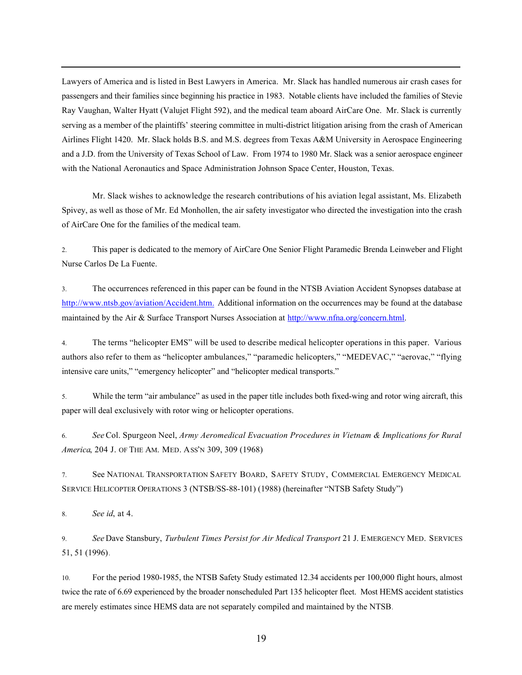Lawyers of America and is listed in Best Lawyers in America. Mr. Slack has handled numerous air crash cases for passengers and their families since beginning his practice in 1983. Notable clients have included the families of Stevie Ray Vaughan, Walter Hyatt (Valujet Flight 592), and the medical team aboard AirCare One. Mr. Slack is currently serving as a member of the plaintiffs' steering committee in multi-district litigation arising from the crash of American Airlines Flight 1420. Mr. Slack holds B.S. and M.S. degrees from Texas A&M University in Aerospace Engineering and a J.D. from the University of Texas School of Law. From 1974 to 1980 Mr. Slack was a senior aerospace engineer with the National Aeronautics and Space Administration Johnson Space Center, Houston, Texas.

Mr. Slack wishes to acknowledge the research contributions of his aviation legal assistant, Ms. Elizabeth Spivey, as well as those of Mr. Ed Monhollen, the air safety investigator who directed the investigation into the crash of AirCare One for the families of the medical team.

2. This paper is dedicated to the memory of AirCare One Senior Flight Paramedic Brenda Leinweber and Flight Nurse Carlos De La Fuente.

3. The occurrences referenced in this paper can be found in the NTSB Aviation Accident Synopses database at http://www.ntsb.gov/aviation/Accident.htm. Additional information on the occurrences may be found at the database maintained by the Air & Surface Transport Nurses Association at http://www.nfna.org/concern.html.

4. The terms "helicopter EMS" will be used to describe medical helicopter operations in this paper. Various authors also refer to them as "helicopter ambulances," "paramedic helicopters," "MEDEVAC," "aerovac," "flying intensive care units," "emergency helicopter" and "helicopter medical transports."

5. While the term "air ambulance" as used in the paper title includes both fixed-wing and rotor wing aircraft, this paper will deal exclusively with rotor wing or helicopter operations.

6. *See* Col. Spurgeon Neel, *Army Aeromedical Evacuation Procedures in Vietnam & Implications for Rural America*, 204 J. OF THE AM. MED. ASS'N 309, 309 (1968)

7. See NATIONAL TRANSPORTATION SAFETY BOARD, SAFETY STUDY, COMMERCIAL EMERGENCY MEDICAL SERVICE HELICOPTER OPERATIONS 3 (NTSB/SS-88-101) (1988) (hereinafter "NTSB Safety Study")

8. *See id*, at 4.

l

9. *See* Dave Stansbury, *Turbulent Times Persist for Air Medical Transport* 21 J. EMERGENCY MED. SERVICES 51, 51 (1996).

10. For the period 1980-1985, the NTSB Safety Study estimated 12.34 accidents per 100,000 flight hours, almost twice the rate of 6.69 experienced by the broader nonscheduled Part 135 helicopter fleet. Most HEMS accident statistics are merely estimates since HEMS data are not separately compiled and maintained by the NTSB.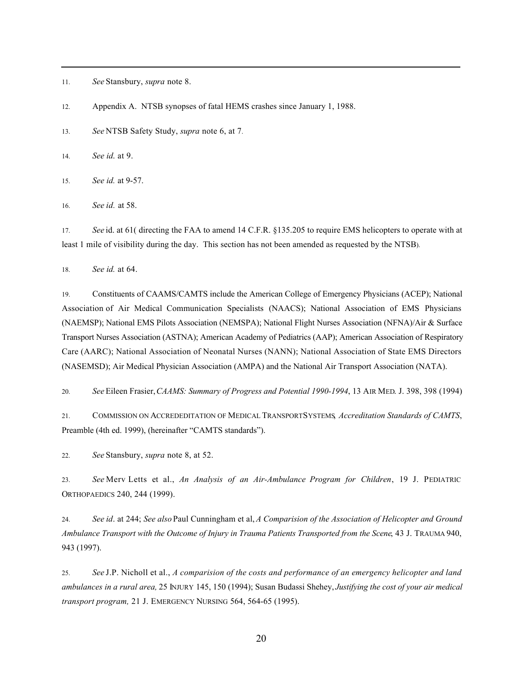11. *See* Stansbury, *supra* note 8.

12. Appendix A. NTSB synopses of fatal HEMS crashes since January 1, 1988.

13. *See* NTSB Safety Study, *supra* note 6, at 7.

14. *See id*. at 9.

l

15. *See id.* at 9-57.

16. *See id.* at 58.

17. *See* id. at 61( directing the FAA to amend 14 C.F.R. §135.205 to require EMS helicopters to operate with at least 1 mile of visibility during the day. This section has not been amended as requested by the NTSB).

18. *See id.* at 64.

19. Constituents of CAAMS/CAMTS include the American College of Emergency Physicians (ACEP); National Association of Air Medical Communication Specialists (NAACS); National Association of EMS Physicians (NAEMSP); National EMS Pilots Association (NEMSPA); National Flight Nurses Association (NFNA)/Air & Surface Transport Nurses Association (ASTNA); American Academy of Pediatrics (AAP); American Association of Respiratory Care (AARC); National Association of Neonatal Nurses (NANN); National Association of State EMS Directors (NASEMSD); Air Medical Physician Association (AMPA) and the National Air Transport Association (NATA).

20. *See* Eileen Frasier, *CAAMS: Summary of Progress and Potential 1990-1994*, 13 AIR MED. J. 398, 398 (1994)

21. COMMISSION ON ACCREDEDITATION OF MEDICAL TRANSPORT SYSTEMS, *Accreditation Standards of CAMTS*, Preamble (4th ed. 1999), (hereinafter "CAMTS standards").

22. *See* Stansbury, *supra* note 8, at 52.

23. *See* Merv Letts et al., *An Analysis of an Air-Ambulance Program for Children*, 19 J. PEDIATRIC ORTHOPAEDICS 240, 244 (1999).

24. *See id*. at 244; *See also* Paul Cunningham et al, *A Comparision of the Association of Helicopter and Ground Ambulance Transport with the Outcome of Injury in Trauma Patients Transported from the Scene*, 43 J. TRAUMA 940, 943 (1997).

25. *See* J.P. Nicholl et al., *A comparision of the costs and performance of an emergency helicopter and land ambulances in a rural area,* 25 INJURY 145, 150 (1994); Susan Budassi Shehey, *Justifying the cost of your air medical transport program,* 21 J. EMERGENCY NURSING 564, 564-65 (1995).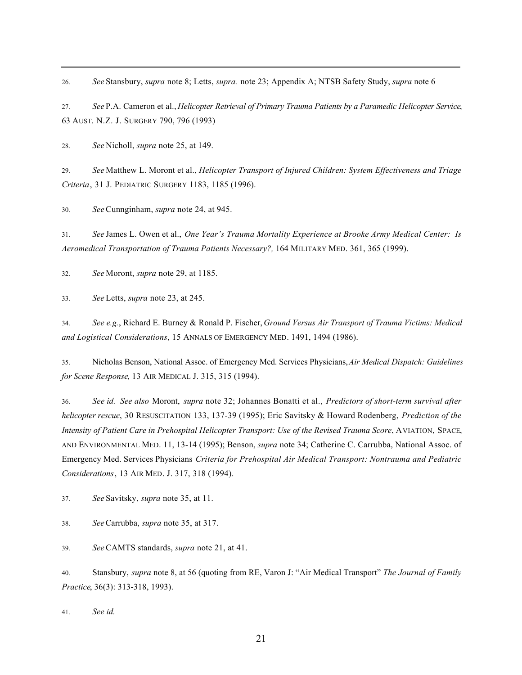26. *See* Stansbury, *supra* note 8; Letts, *supra.* note 23; Appendix A; NTSB Safety Study, *supra* note 6

27. *See* P.A. Cameron et al., *Helicopter Retrieval of Primary Trauma Patients by a Paramedic Helicopter Service*, 63 AUST. N.Z. J. SURGERY 790, 796 (1993)

28. *See* Nicholl, *supra* note 25, at 149.

l

29. *See* Matthew L. Moront et al., *Helicopter Transport of Injured Children: System Effectiveness and Triage Criteria*, 31 J. PEDIATRIC SURGERY 1183, 1185 (1996).

30. *See* Cunnginham, *supra* note 24, at 945.

31. *See* James L. Owen et al., *One Year's Trauma Mortality Experience at Brooke Army Medical Center: Is Aeromedical Transportation of Trauma Patients Necessary?,* 164 MILITARY MED. 361, 365 (1999).

32. *See* Moront, *supra* note 29, at 1185.

33. *See* Letts, *supra* note 23, at 245.

34. *See e.g.*, Richard E. Burney & Ronald P. Fischer, *Ground Versus Air Transport of Trauma Victims: Medical and Logistical Considerations*, 15 ANNALS OF EMERGENCY MED. 1491, 1494 (1986).

35. Nicholas Benson, National Assoc. of Emergency Med. Services Physicians, *Air Medical Dispatch: Guidelines for Scene Response*, 13 AIR MEDICAL J. 315, 315 (1994).

36. *See id. See also* Moront, *supra* note 32; Johannes Bonatti et al., *Predictors of short-term survival after helicopter rescue*, 30 RESUSCITATION 133, 137-39 (1995); Eric Savitsky & Howard Rodenberg, *Prediction of the Intensity of Patient Care in Prehospital Helicopter Transport: Use of the Revised Trauma Score*, AVIATION, SPACE, AND ENVIRONMENTAL MED. 11, 13-14 (1995); Benson, *supra* note 34; Catherine C. Carrubba, National Assoc. of Emergency Med. Services Physicians *Criteria for Prehospital Air Medical Transport: Nontrauma and Pediatric Considerations*, 13 AIR MED. J. 317, 318 (1994).

37. *See* Savitsky, *supra* note 35, at 11.

38. *See* Carrubba, *supra* note 35, at 317.

39. *See* CAMTS standards, *supra* note 21, at 41.

40. Stansbury, *supra* note 8, at 56 (quoting from RE, Varon J: "Air Medical Transport" *The Journal of Family Practice*, 36(3): 313-318, 1993).

41. *See id.*